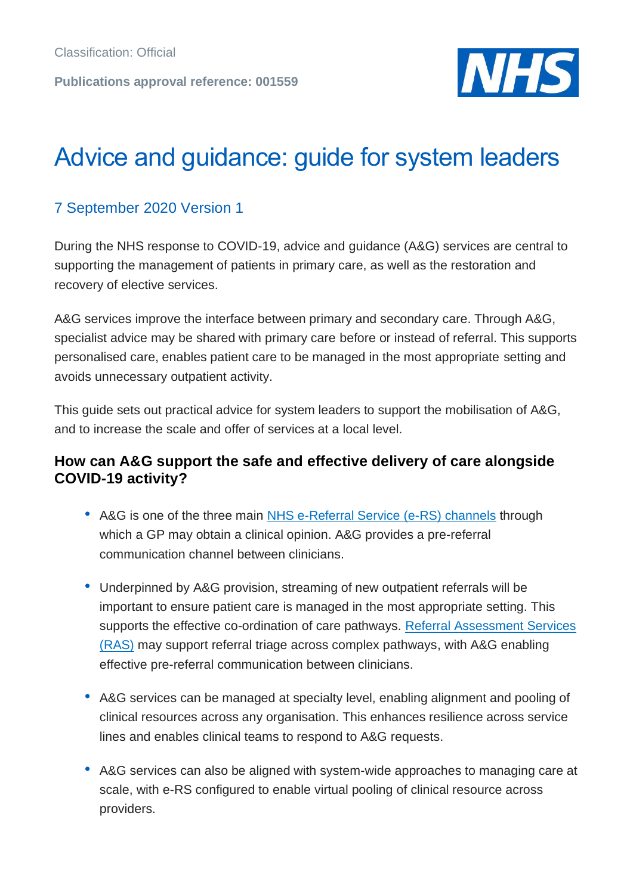

# Advice and guidance: guide for system leaders

## 7 September 2020 Version 1

During the NHS response to COVID-19, advice and guidance (A&G) services are central to supporting the management of patients in primary care, as well as the restoration and recovery of elective services.

A&G services improve the interface between primary and secondary care. Through A&G, specialist advice may be shared with primary care before or instead of referral. This supports personalised care, enables patient care to be managed in the most appropriate setting and avoids unnecessary outpatient activity.

This guide sets out practical advice for system leaders to support the mobilisation of A&G, and to increase the scale and offer of services at a local level.

#### **How can A&G support the safe and effective delivery of care alongside COVID-19 activity?**

- A&G is one of the three main [NHS e-Referral Service \(e-RS\) channels](https://digital.nhs.uk/services/e-referral-service/document-library/supporting-clinical-referral-pathways) through which a GP may obtain a clinical opinion. A&G provides a pre-referral communication channel between clinicians.
- Underpinned by A&G provision, streaming of new outpatient referrals will be important to ensure patient care is managed in the most appropriate setting. This supports the effective co-ordination of care pathways. [Referral Assessment Services](https://digital.nhs.uk/services/e-referral-service/document-library/referral-assessment-services)  [\(RAS\)](https://digital.nhs.uk/services/e-referral-service/document-library/referral-assessment-services) may support referral triage across complex pathways, with A&G enabling effective pre-referral communication between clinicians.
- A&G services can be managed at specialty level, enabling alignment and pooling of clinical resources across any organisation. This enhances resilience across service lines and enables clinical teams to respond to A&G requests.
- A&G services can also be aligned with system-wide approaches to managing care at scale, with e-RS configured to enable virtual pooling of clinical resource across providers.